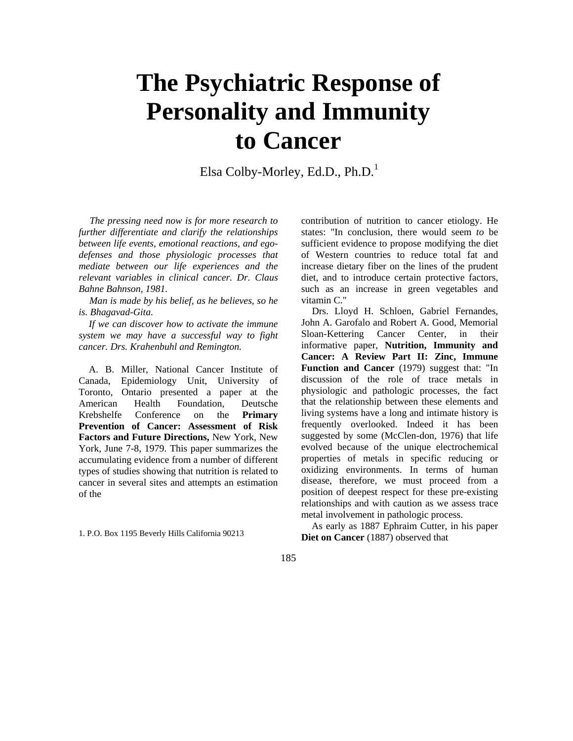# **The Psychiatric Response of Personality and Immunity to Cancer**

Elsa Colby-Morley, Ed.D., Ph.D.<sup>1</sup>

*The pressing need now is for more research to further differentiate and clarify the relationships between life events, emotional reactions, and egodefenses and those physiologic processes that mediate between our life experiences and the relevant variables in clinical cancer. Dr. Claus Bahne Bahnson, 1981.*

*Man is made by his belief, as he believes, so he is. Bhagavad-Gita.*

*If we can discover how to activate the immune system we may have a successful way to fight cancer. Drs. Krahenbuhl and Remington.*

A. B. Miller, National Cancer Institute of Canada, Epidemiology Unit, University of Toronto, Ontario presented a paper at the American Health Foundation, Deutsche Krebshelfe Conference on the **Primary Prevention of Cancer: Assessment of Risk Factors and Future Directions,** New York, New York, June 7-8, 1979. This paper summarizes the accumulating evidence from a number of different types of studies showing that nutrition is related to cancer in several sites and attempts an estimation of the

1. P.O. Box 1195 Beverly Hills California 90213

contribution of nutrition to cancer etiology. He states: "In conclusion, there would seem *to* be sufficient evidence to propose modifying the diet of Western countries to reduce total fat and increase dietary fiber on the lines of the prudent diet, and to introduce certain protective factors, such as an increase in green vegetables and vitamin C."

Drs. Lloyd H. Schloen, Gabriel Fernandes, John A. Garofalo and Robert A. Good, Memorial Sloan-Kettering Cancer Center, in their informative paper, **Nutrition, Immunity and Cancer: A Review Part II: Zinc, Immune Function and Cancer** (1979) suggest that: "In discussion of the role of trace metals in physiologic and pathologic processes, the fact that the relationship between these elements and living systems have a long and intimate history is frequently overlooked. Indeed it has been suggested by some (McClen-don, 1976) that life evolved because of the unique electrochemical properties of metals in specific reducing or oxidizing environments. In terms of human disease, therefore, we must proceed from a position of deepest respect for these pre-existing relationships and with caution as we assess trace metal involvement in pathologic process.

As early as 1887 Ephraim Cutter, in his paper **Diet on Cancer** (1887) observed that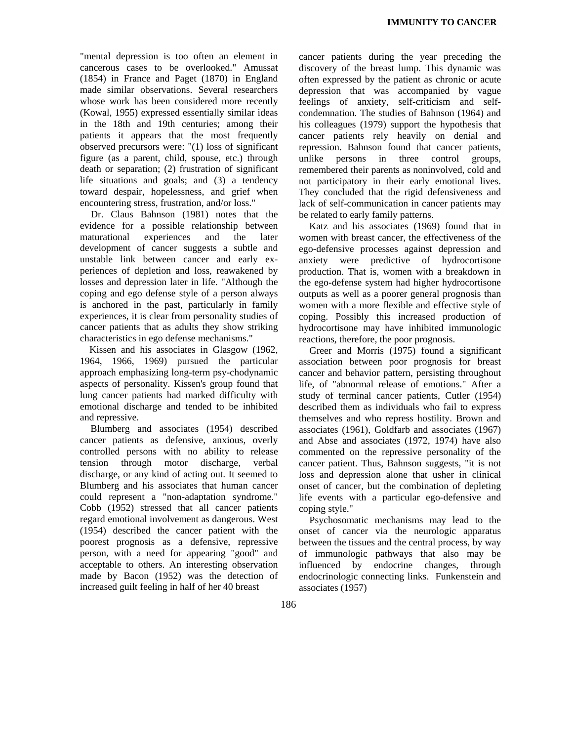"mental depression is too often an element in cancerous cases to be overlooked." Amussat (1854) in France and Paget (1870) in England made similar observations. Several researchers whose work has been considered more recently (Kowal, 1955) expressed essentially similar ideas in the 18th and 19th centuries; among their patients it appears that the most frequently observed precursors were: "(1) loss of significant figure (as a parent, child, spouse, etc.) through death or separation; (2) frustration of significant life situations and goals; and (3) a tendency toward despair, hopelessness, and grief when encountering stress, frustration, and/or loss."

Dr. Claus Bahnson (1981) notes that the evidence for a possible relationship between maturational experiences and the later development of cancer suggests a subtle and unstable link between cancer and early experiences of depletion and loss, reawakened by losses and depression later in life. "Although the coping and ego defense style of a person always is anchored in the past, particularly in family experiences, it is clear from personality studies of cancer patients that as adults they show striking characteristics in ego defense mechanisms."

Kissen and his associates in Glasgow (1962, 1964, 1966, 1969) pursued the particular approach emphasizing long-term psy-chodynamic aspects of personality. Kissen's group found that lung cancer patients had marked difficulty with emotional discharge and tended to be inhibited and repressive.

Blumberg and associates (1954) described cancer patients as defensive, anxious, overly controlled persons with no ability to release tension through motor discharge, verbal discharge, or any kind of acting out. It seemed to Blumberg and his associates that human cancer could represent a "non-adaptation syndrome." Cobb (1952) stressed that all cancer patients regard emotional involvement as dangerous. West (1954) described the cancer patient with the poorest prognosis as a defensive, repressive person, with a need for appearing "good" and acceptable to others. An interesting observation made by Bacon (1952) was the detection of increased guilt feeling in half of her 40 breast

cancer patients during the year preceding the discovery of the breast lump. This dynamic was often expressed by the patient as chronic or acute depression that was accompanied by vague feelings of anxiety, self-criticism and selfcondemnation. The studies of Bahnson (1964) and his colleagues (1979) support the hypothesis that cancer patients rely heavily on denial and repression. Bahnson found that cancer patients, unlike persons in three control groups, remembered their parents as noninvolved, cold and not participatory in their early emotional lives. They concluded that the rigid defensiveness and lack of self-communication in cancer patients may be related to early family patterns.

Katz and his associates (1969) found that in women with breast cancer, the effectiveness of the ego-defensive processes against depression and anxiety were predictive of hydrocortisone production. That is, women with a breakdown in the ego-defense system had higher hydrocortisone outputs as well as a poorer general prognosis than women with a more flexible and effective style of coping. Possibly this increased production of hydrocortisone may have inhibited immunologic reactions, therefore, the poor prognosis.

Greer and Morris (1975) found a significant association between poor prognosis for breast cancer and behavior pattern, persisting throughout life, of "abnormal release of emotions." After a study of terminal cancer patients, Cutler (1954) described them as individuals who fail to express themselves and who repress hostility. Brown and associates (1961), Goldfarb and associates (1967) and Abse and associates (1972, 1974) have also commented on the repressive personality of the cancer patient. Thus, Bahnson suggests, "it is not loss and depression alone that usher in clinical onset of cancer, but the combination of depleting life events with a particular ego-defensive and coping style."

Psychosomatic mechanisms may lead to the onset of cancer via the neurologic apparatus between the tissues and the central process, by way of immunologic pathways that also may be influenced by endocrine changes, through endocrinologic connecting links. Funkenstein and associates (1957)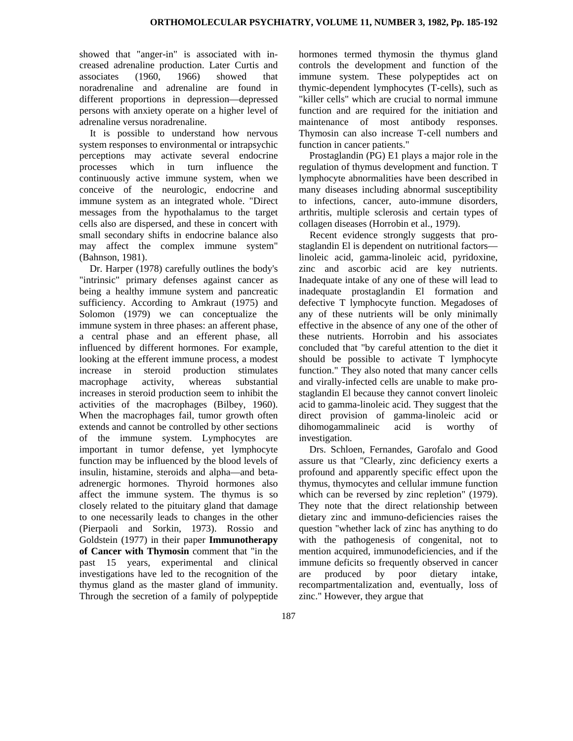showed that "anger-in" is associated with increased adrenaline production. Later Curtis and associates (1960, 1966) showed that noradrenaline and adrenaline are found in different proportions in depression—depressed persons with anxiety operate on a higher level of adrenaline versus noradrenaline.

It is possible to understand how nervous system responses to environmental or intrapsychic perceptions may activate several endocrine processes which in turn influence the continuously active immune system, when we conceive of the neurologic, endocrine and immune system as an integrated whole. "Direct messages from the hypothalamus to the target cells also are dispersed, and these in concert with small secondary shifts in endocrine balance also may affect the complex immune system" (Bahnson, 1981).

Dr. Harper (1978) carefully outlines the body's "intrinsic" primary defenses against cancer as being a healthy immune system and pancreatic sufficiency. According to Amkraut (1975) and Solomon (1979) we can conceptualize the immune system in three phases: an afferent phase, a central phase and an efferent phase, all influenced by different hormones. For example, looking at the efferent immune process, a modest increase in steroid production stimulates macrophage activity, whereas substantial increases in steroid production seem to inhibit the activities of the macrophages (Bilbey, 1960). When the macrophages fail, tumor growth often extends and cannot be controlled by other sections of the immune system. Lymphocytes are important in tumor defense, yet lymphocyte function may be influenced by the blood levels of insulin, histamine, steroids and alpha—and betaadrenergic hormones. Thyroid hormones also affect the immune system. The thymus is so closely related to the pituitary gland that damage to one necessarily leads to changes in the other (Pierpaoli and Sorkin, 1973). Rossio and Goldstein (1977) in their paper **Immunotherapy of Cancer with Thymosin** comment that "in the past 15 years, experimental and clinical investigations have led to the recognition of the thymus gland as the master gland of immunity. Through the secretion of a family of polypeptide

hormones termed thymosin the thymus gland controls the development and function of the immune system. These polypeptides act on thymic-dependent lymphocytes (T-cells), such as "killer cells" which are crucial to normal immune function and are required for the initiation and maintenance of most antibody responses. Thymosin can also increase T-cell numbers and function in cancer patients."

Prostaglandin (PG) E1 plays a major role in the regulation of thymus development and function. T lymphocyte abnormalities have been described in many diseases including abnormal susceptibility to infections, cancer, auto-immune disorders, arthritis, multiple sclerosis and certain types of collagen diseases (Horrobin et al., 1979).

Recent evidence strongly suggests that prostaglandin El is dependent on nutritional factors linoleic acid, gamma-linoleic acid, pyridoxine, zinc and ascorbic acid are key nutrients. Inadequate intake of any one of these will lead to inadequate prostaglandin El formation and defective T lymphocyte function. Megadoses of any of these nutrients will be only minimally effective in the absence of any one of the other of these nutrients. Horrobin and his associates concluded that "by careful attention to the diet it should be possible to activate T lymphocyte function." They also noted that many cancer cells and virally-infected cells are unable to make prostaglandin El because they cannot convert linoleic acid to gamma-linoleic acid. They suggest that the direct provision of gamma-linoleic acid or dihomogammalineic acid is worthy of investigation.

Drs. Schloen, Fernandes, Garofalo and Good assure us that "Clearly, zinc deficiency exerts a profound and apparently specific effect upon the thymus, thymocytes and cellular immune function which can be reversed by zinc repletion" (1979). They note that the direct relationship between dietary zinc and immuno-deficiencies raises the question "whether lack of zinc has anything to do with the pathogenesis of congenital, not to mention acquired, immunodeficiencies, and if the immune deficits so frequently observed in cancer are produced by poor dietary intake, recompartmentalization and, eventually, loss of zinc." However, they argue that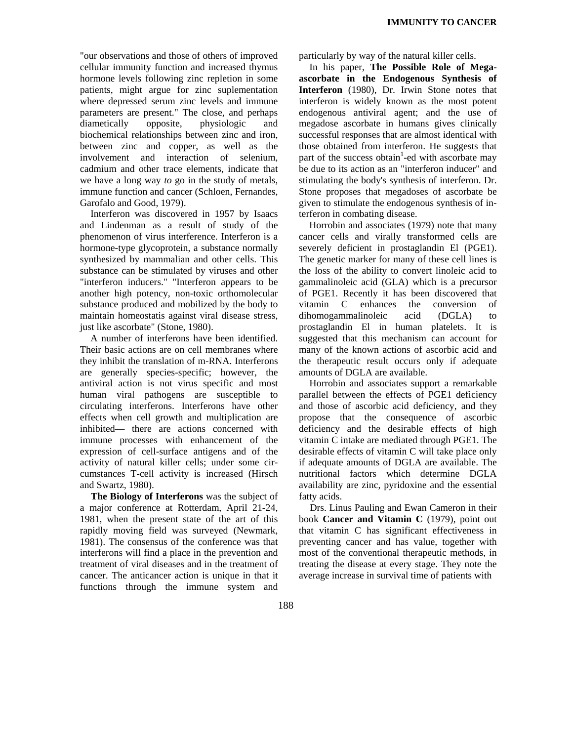"our observations and those of others of improved cellular immunity function and increased thymus hormone levels following zinc repletion in some patients, might argue for zinc suplementation where depressed serum zinc levels and immune parameters are present." The close, and perhaps diametically opposite, physiologic and biochemical relationships between zinc and iron, between zinc and copper, as well as the involvement and interaction of selenium, cadmium and other trace elements, indicate that we have a long way *to* go in the study of metals, immune function and cancer (Schloen, Fernandes, Garofalo and Good, 1979).

Interferon was discovered in 1957 by Isaacs and Lindenman as a result of study of the phenomenon of virus interference. Interferon is a hormone-type glycoprotein, a substance normally synthesized by mammalian and other cells. This substance can be stimulated by viruses and other "interferon inducers." "Interferon appears to be another high potency, non-toxic orthomolecular substance produced and mobilized by the body to maintain homeostatis against viral disease stress, just like ascorbate" (Stone, 1980).

A number of interferons have been identified. Their basic actions are on cell membranes where they inhibit the translation of m-RNA. Interferons are generally species-specific; however, the antiviral action is not virus specific and most human viral pathogens are susceptible to circulating interferons. Interferons have other effects when cell growth and multiplication are inhibited— there are actions concerned with immune processes with enhancement of the expression of cell-surface antigens and of the activity of natural killer cells; under some circumstances T-cell activity is increased (Hirsch and Swartz, 1980).

**The Biology of Interferons** was the subject of a major conference at Rotterdam, April 21-24, 1981, when the present state of the art of this rapidly moving field was surveyed (Newmark, 1981). The consensus of the conference was that interferons will find a place in the prevention and treatment of viral diseases and in the treatment of cancer. The anticancer action is unique in that it functions through the immune system and

particularly by way of the natural killer cells.

In his paper, **The Possible Role of Megaascorbate in the Endogenous Synthesis of Interferon** (1980), Dr. Irwin Stone notes that interferon is widely known as the most potent endogenous antiviral agent; and the use of megadose ascorbate in humans gives clinically successful responses that are almost identical with those obtained from interferon. He suggests that part of the success obtain<sup>1</sup>-ed with ascorbate may be due to its action as an "interferon inducer" and stimulating the body's synthesis of interferon. Dr. Stone proposes that megadoses of ascorbate be given to stimulate the endogenous synthesis of interferon in combating disease.

Horrobin and associates (1979) note that many cancer cells and virally transformed cells are severely deficient in prostaglandin El (PGE1). The genetic marker for many of these cell lines is the loss of the ability to convert linoleic acid to gammalinoleic acid (GLA) which is a precursor of PGE1. Recently it has been discovered that vitamin C enhances the conversion of dihomogammalinoleic acid (DGLA) to prostaglandin El in human platelets. It is suggested that this mechanism can account for many of the known actions of ascorbic acid and the therapeutic result occurs only if adequate amounts of DGLA are available.

Horrobin and associates support a remarkable parallel between the effects of PGE1 deficiency and those of ascorbic acid deficiency, and they propose that the consequence of ascorbic deficiency and the desirable effects of high vitamin C intake are mediated through PGE1. The desirable effects of vitamin C will take place only if adequate amounts of DGLA are available. The nutritional factors which determine DGLA availability are zinc, pyridoxine and the essential fatty acids.

Drs. Linus Pauling and Ewan Cameron in their book **Cancer and Vitamin C** (1979), point out that vitamin C has significant effectiveness in preventing cancer and has value, together with most of the conventional therapeutic methods, in treating the disease at every stage. They note the average increase in survival time of patients with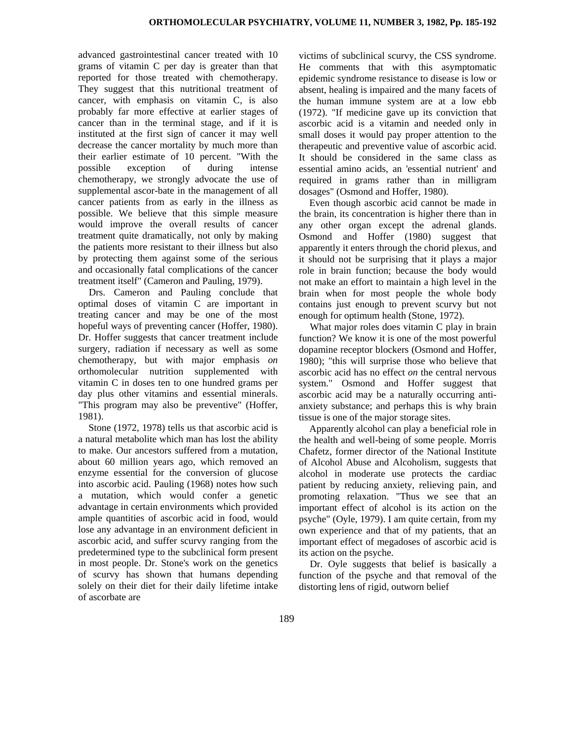advanced gastrointestinal cancer treated with 10 grams of vitamin C per day is greater than that reported for those treated with chemotherapy. They suggest that this nutritional treatment of cancer, with emphasis on vitamin C, is also probably far more effective at earlier stages of cancer than in the terminal stage, and if it is instituted at the first sign of cancer it may well decrease the cancer mortality by much more than their earlier estimate of 10 percent. "With the possible exception of during intense chemotherapy, we strongly advocate the use of supplemental ascor-bate in the management of all cancer patients from as early in the illness as possible. We believe that this simple measure would improve the overall results of cancer treatment quite dramatically, not only by making the patients more resistant to their illness but also by protecting them against some of the serious and occasionally fatal complications of the cancer treatment itself" (Cameron and Pauling, 1979).

Drs. Cameron and Pauling conclude that optimal doses of vitamin C are important in treating cancer and may be one of the most hopeful ways of preventing cancer (Hoffer, 1980). Dr. Hoffer suggests that cancer treatment include surgery, radiation if necessary as well as some chemotherapy, but with major emphasis *on*  orthomolecular nutrition supplemented with vitamin C in doses ten to one hundred grams per day plus other vitamins and essential minerals. "This program may also be preventive" (Hoffer, 1981).

Stone (1972, 1978) tells us that ascorbic acid is a natural metabolite which man has lost the ability to make. Our ancestors suffered from a mutation, about 60 million years ago, which removed an enzyme essential for the conversion of glucose into ascorbic acid. Pauling (1968) notes how such a mutation, which would confer a genetic advantage in certain environments which provided ample quantities of ascorbic acid in food, would lose any advantage in an environment deficient in ascorbic acid, and suffer scurvy ranging from the predetermined type to the subclinical form present in most people. Dr. Stone's work on the genetics of scurvy has shown that humans depending solely on their diet for their daily lifetime intake of ascorbate are

victims of subclinical scurvy, the CSS syndrome. He comments that with this asymptomatic epidemic syndrome resistance to disease is low or absent, healing is impaired and the many facets of the human immune system are at a low ebb (1972). "If medicine gave up its conviction that ascorbic acid is a vitamin and needed only in small doses it would pay proper attention to the therapeutic and preventive value of ascorbic acid. It should be considered in the same class as essential amino acids, an 'essential nutrient' and required in grams rather than in milligram dosages" (Osmond and Hoffer, 1980).

Even though ascorbic acid cannot be made in the brain, its concentration is higher there than in any other organ except the adrenal glands. Osmond and Hoffer (1980) suggest that apparently it enters through the chorid plexus, and it should not be surprising that it plays a major role in brain function; because the body would not make an effort to maintain a high level in the brain when for most people the whole body contains just enough to prevent scurvy but not enough for optimum health (Stone, 1972).

What major roles does vitamin C play in brain function? We know it is one of the most powerful dopamine receptor blockers (Osmond and Hoffer, 1980); "this will surprise those who believe that ascorbic acid has no effect *on* the central nervous system." Osmond and Hoffer suggest that ascorbic acid may be a naturally occurring antianxiety substance; and perhaps this is why brain tissue is one of the major storage sites.

Apparently alcohol can play a beneficial role in the health and well-being of some people. Morris Chafetz, former director of the National Institute of Alcohol Abuse and Alcoholism, suggests that alcohol in moderate use protects the cardiac patient by reducing anxiety, relieving pain, and promoting relaxation. "Thus we see that an important effect of alcohol is its action on the psyche" (Oyle, 1979). I am quite certain, from my own experience and that of my patients, that an important effect of megadoses of ascorbic acid is its action on the psyche.

Dr. Oyle suggests that belief is basically a function of the psyche and that removal of the distorting lens of rigid, outworn belief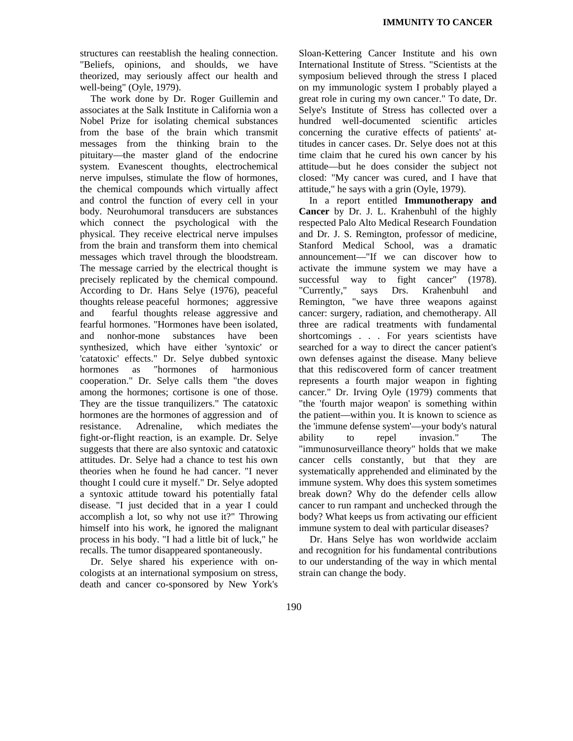structures can reestablish the healing connection. "Beliefs, opinions, and shoulds, we have theorized, may seriously affect our health and well-being" (Oyle, 1979).

The work done by Dr. Roger Guillemin and associates at the Salk Institute in California won a Nobel Prize for isolating chemical substances from the base of the brain which transmit messages from the thinking brain to the pituitary—the master gland of the endocrine system. Evanescent thoughts, electrochemical nerve impulses, stimulate the flow of hormones, the chemical compounds which virtually affect and control the function of every cell in your body. Neurohumoral transducers are substances which connect the psychological with the physical. They receive electrical nerve impulses from the brain and transform them into chemical messages which travel through the bloodstream. The message carried by the electrical thought is precisely replicated by the chemical compound. According to Dr. Hans Selye (1976), peaceful thoughts release peaceful hormones; aggressive and fearful thoughts release aggressive and fearful hormones. "Hormones have been isolated, and nonhor-mone substances have been synthesized, which have either 'syntoxic' or 'catatoxic' effects." Dr. Selye dubbed syntoxic hormones as "hormones of harmonious cooperation." Dr. Selye calls them "the doves among the hormones; cortisone is one of those. They are the tissue tranquilizers." The catatoxic hormones are the hormones of aggression and of resistance. Adrenaline, which mediates the fight-or-flight reaction, is an example. Dr. Selye suggests that there are also syntoxic and catatoxic attitudes. Dr. Selye had a chance to test his own theories when he found he had cancer. "I never thought I could cure it myself." Dr. Selye adopted a syntoxic attitude toward his potentially fatal disease. "I just decided that in a year I could accomplish a lot, so why not use it?" Throwing himself into his work, he ignored the malignant process in his body. "I had a little bit of luck," he recalls. The tumor disappeared spontaneously.

Dr. Selye shared his experience with oncologists at an international symposium on stress, death and cancer co-sponsored by New York's

Sloan-Kettering Cancer Institute and his own International Institute of Stress. "Scientists at the symposium believed through the stress I placed on my immunologic system I probably played a great role in curing my own cancer." To date, Dr. Selye's Institute of Stress has collected over a hundred well-documented scientific articles concerning the curative effects of patients' attitudes in cancer cases. Dr. Selye does not at this time claim that he cured his own cancer by his attitude—but he does consider the subject not closed: "My cancer was cured, and I have that attitude," he says with a grin (Oyle, 1979).

In a report entitled **Immunotherapy and Cancer** by Dr. J. L. Krahenbuhl of the highly respected Palo Alto Medical Research Foundation and Dr. J. S. Remington, professor of medicine, Stanford Medical School, was a dramatic announcement—"If we can discover how to activate the immune system we may have a successful way to fight cancer" (1978). "Currently," says Drs. Krahenbuhl and Remington, "we have three weapons against cancer: surgery, radiation, and chemotherapy. All three are radical treatments with fundamental shortcomings . . . For years scientists have searched for a way to direct the cancer patient's own defenses against the disease. Many believe that this rediscovered form of cancer treatment represents a fourth major weapon in fighting cancer." Dr. Irving Oyle (1979) comments that "the 'fourth major weapon' is something within the patient—within you. It is known to science as the 'immune defense system'—your body's natural ability to repel invasion." The "immunosurveillance theory" holds that we make cancer cells constantly, but that they are systematically apprehended and eliminated by the immune system. Why does this system sometimes break down? Why do the defender cells allow cancer to run rampant and unchecked through the body? What keeps us from activating our efficient immune system to deal with particular diseases?

Dr. Hans Selye has won worldwide acclaim and recognition for his fundamental contributions to our understanding of the way in which mental strain can change the body.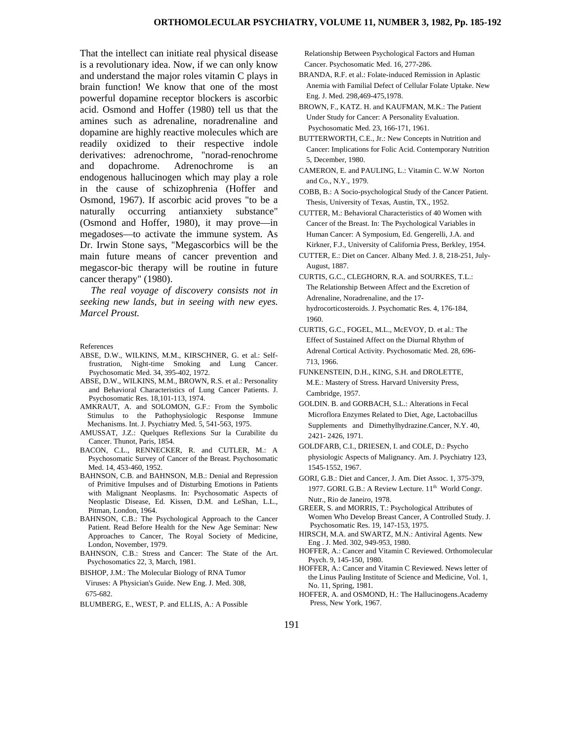That the intellect can initiate real physical disease is a revolutionary idea. Now, if we can only know and understand the major roles vitamin C plays in brain function! We know that one of the most powerful dopamine receptor blockers is ascorbic acid. Osmond and Hoffer (1980) tell us that the amines such as adrenaline, noradrenaline and dopamine are highly reactive molecules which are readily oxidized to their respective indole derivatives: adrenochrome, "norad-renochrome and dopachrome. Adrenochrome is an endogenous hallucinogen which may play a role in the cause of schizophrenia (Hoffer and Osmond, 1967). If ascorbic acid proves "to be a naturally occurring antianxiety substance" (Osmond and Hoffer, 1980), it may prove—in megadoses—to activate the immune system. As Dr. Irwin Stone says, "Megascorbics will be the main future means of cancer prevention and megascor-bic therapy will be routine in future cancer therapy" (1980).

*The real voyage of discovery consists not in seeking new lands, but in seeing with new eyes. Marcel Proust.*

References

- ABSE, D.W., WILKINS, M.M., KIRSCHNER, G. et al.: Selffrustration, Night-time Smoking and Lung Cancer. Psychosomatic Med. 34, 395-402, 1972.
- ABSE, D.W., WILKINS, M.M., BROWN, R.S. et al.: Personality and Behavioral Characteristics of Lung Cancer Patients. J. Psychosomatic Res. 18,101-113, 1974.
- AMKRAUT, A. and SOLOMON, G.F.: From the Symbolic Stimulus to the Pathophysiologic Response Immune Mechanisms. Int. J. Psychiatry Med. 5, 541-563, 1975.
- AMUSSAT, J.Z.: Quelques Reflexions Sur la Curabilite du Cancer. Thunot, Paris, 1854.
- BACON, C.L., RENNECKER, R. and CUTLER, M.: A Psychosomatic Survey of Cancer of the Breast. Psychosomatic Med. 14, 453-460, 1952.
- BAHNSON, C.B. and BAHNSON, M.B.: Denial and Repression of Primitive Impulses and of Disturbing Emotions in Patients with Malignant Neoplasms. In: Psychosomatic Aspects of Neoplastic Disease, Ed. Kissen, D.M. and LeShan, L.L., Pitman, London, 1964.
- BAHNSON, C.B.: The Psychological Approach to the Cancer Patient. Read Before Health for the New Age Seminar: New Approaches to Cancer, The Royal Society of Medicine, London, November, 1979.
- BAHNSON, C.B.: Stress and Cancer: The State of the Art. Psychosomatics 22, 3, March, 1981.
- BISHOP, J.M.: The Molecular Biology of RNA Tumor Viruses: A Physician's Guide. New Eng. J. Med. 308, 675-682.
- BLUMBERG, E., WEST, P. and ELLIS, A.: A Possible

 Relationship Between Psychological Factors and Human Cancer. Psychosomatic Med. 16, 277-286.

- BRANDA, R.F. et al.: Folate-induced Remission in Aplastic Anemia with Familial Defect of Cellular Folate Uptake. New Eng. J. Med. 298,469-475,1978.
- BROWN, F., KATZ. H. and KAUFMAN, M.K.: The Patient Under Study for Cancer: A Personality Evaluation. Psychosomatic Med. 23, 166-171, 1961.
- BUTTERWORTH, C.E., Jr.: New Concepts in Nutrition and Cancer: Implications for Folic Acid. Contemporary Nutrition 5, December, 1980.
- CAMERON, E. and PAULING, L.: Vitamin C. W.W Norton and Co., N.Y., 1979.
- COBB, B.: A Socio-psychological Study of the Cancer Patient. Thesis, University of Texas, Austin, TX., 1952.
- CUTTER, M.: Behavioral Characteristics of 40 Women with Cancer of the Breast. In: The Psychological Variables in Human Cancer: A Symposium, Ed. Gengerelli, J.A. and Kirkner, F.J., University of California Press, Berkley, 1954.
- CUTTER, E.: Diet on Cancer. Albany Med. J. 8, 218-251, July- August, 1887.
- CURTIS, G.C., CLEGHORN, R.A. and SOURKES, T.L.: The Relationship Between Affect and the Excretion of Adrenaline, Noradrenaline, and the 17 hydrocorticosteroids. J. Psychomatic Res. 4, 176-184, 1960.
- CURTIS, G.C., FOGEL, M.L., McEVOY, D. et al.: The Effect of Sustained Affect on the Diurnal Rhythm of Adrenal Cortical Activity. Psychosomatic Med. 28, 696- 713, 1966.
- FUNKENSTEIN, D.H., KING, S.H. and DROLETTE, M.E.: Mastery of Stress. Harvard University Press, Cambridge, 1957.
- GOLDIN. B. and GORBACH, S.L.: Alterations in Fecal Microflora Enzymes Related to Diet, Age, Lactobacillus Supplements and Dimethylhydrazine.Cancer, N.Y. 40, 2421- 2426, 1971.
- GOLDFARB, C.I., DRIESEN, I. and COLE, D.: Psycho physiologic Aspects of Malignancy. Am. J. Psychiatry 123, 1545-1552, 1967.
- GORI, G.B.: Diet and Cancer, J. Am. Diet Assoc. 1, 375-379, 1977. GORI. G.B.: A Review Lecture. 11<sup>th</sup> World Congr. Nutr., Rio de Janeiro, 1978.
- GREER, S. and MORRIS, T.: Psychological Attributes of Women Who Develop Breast Cancer, A Controlled Study. J. Psychosomatic Res. 19, 147-153, 1975.
- HIRSCH, M.A. and SWARTZ, M.N.: Antiviral Agents. New Eng . J. Med. 302, 949-953, 1980.
- HOFFER, A.: Cancer and Vitamin C Reviewed. Orthomolecular Psych. 9, 145-150, 1980.
- HOFFER, A.: Cancer and Vitamin C Reviewed. News letter of the Linus Pauling Institute of Science and Medicine, Vol. 1, No. 11, Spring, 1981.
- HOFFER, A. and OSMOND, H.: The Hallucinogens.Academy Press, New York, 1967.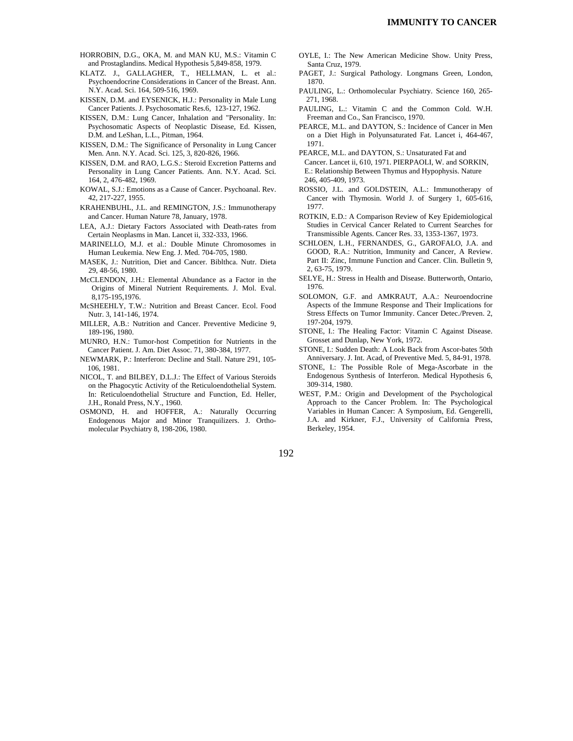- HORROBIN, D.G., OKA, M. and MAN KU, M.S.: Vitamin C and Prostaglandins. Medical Hypothesis 5,849-858, 1979.
- KLATZ. J., GALLAGHER, T., HELLMAN, L. et al.: Psychoendocrine Considerations in Cancer of the Breast. Ann. N.Y. Acad. Sci. 164, 509-516, 1969.
- KISSEN, D.M. and EYSENICK, H.J.: Personality in Male Lung Cancer Patients. J. Psychosomatic Res.6, 123-127, 1962.
- KISSEN, D.M.: Lung Cancer, Inhalation and "Personality. In: Psychosomatic Aspects of Neoplastic Disease, Ed. Kissen, D.M. and LeShan, L.L., Pitman, 1964.
- KISSEN, D.M.: The Significance of Personality in Lung Cancer Men. Ann. N.Y. Acad. Sci. 125, 3, 820-826, 1966.
- KISSEN, D.M. and RAO, L.G.S.: Steroid Excretion Patterns and Personality in Lung Cancer Patients. Ann. N.Y. Acad. Sci. 164, 2, 476-482, 1969.
- KOWAL, S.J.: Emotions as a Cause of Cancer. Psychoanal. Rev. 42, 217-227, 1955.
- KRAHENBUHL, J.L. and REMINGTON, J.S.: Immunotherapy and Cancer. Human Nature 78, January, 1978.
- LEA, A.J.: Dietary Factors Associated with Death-rates from Certain Neoplasms in Man. Lancet ii, 332-333, 1966.
- MARINELLO, M.J. et al.: Double Minute Chromosomes in Human Leukemia. New Eng. J. Med. 704-705, 1980.
- MASEK, J.: Nutrition, Diet and Cancer. Biblthca. Nutr. Dieta 29, 48-56, 1980.
- McCLENDON, J.H.: Elemental Abundance as a Factor in the Origins of Mineral Nutrient Requirements. J. Mol. Eval. 8,175-195,1976.
- McSHEEHLY, T.W.: Nutrition and Breast Cancer. Ecol. Food Nutr. 3, 141-146, 1974.
- MILLER, A.B.: Nutrition and Cancer. Preventive Medicine 9, 189-196, 1980.
- MUNRO, H.N.: Tumor-host Competition for Nutrients in the Cancer Patient. J. Am. Diet Assoc. 71, 380-384, 1977.
- NEWMARK, P.: Interferon: Decline and Stall. Nature 291, 105- 106, 1981.
- NICOL, T. and BILBEY, D.L.J.: The Effect of Various Steroids on the Phagocytic Activity of the Reticuloendothelial System. In: Reticuloendothelial Structure and Function, Ed. Heller, J.H., Ronald Press, N.Y., 1960.
- OSMOND, H. and HOFFER, A.: Naturally Occurring Endogenous Major and Minor Tranquilizers. J. Orthomolecular Psychiatry 8, 198-206, 1980.
- OYLE, I.: The New American Medicine Show. Unity Press, Santa Cruz, 1979.
- PAGET, J.: Surgical Pathology. Longmans Green, London, 1870.
- PAULING, L.: Orthomolecular Psychiatry. Science 160, 265- 271, 1968.
- PAULING, L.: Vitamin C and the Common Cold. W.H. Freeman and Co., San Francisco, 1970.
- PEARCE, M.L. and DAYTON, S.: Incidence of Cancer in Men on a Diet High in Polyunsaturated Fat. Lancet i, 464-467, 1971.
- PEARCE, M.L. and DAYTON, S.: Unsaturated Fat and Cancer. Lancet ii, 610, 1971. PIERPAOLI, W. and SORKIN, E.: Relationship Between Thymus and Hypophysis. Nature 246, 405-409, 1973.
- ROSSIO, J.L. and GOLDSTEIN, A.L.: Immunotherapy of Cancer with Thymosin. World J. of Surgery 1, 605-616, 1977.
- ROTKIN, E.D.: A Comparison Review of Key Epidemiological Studies in Cervical Cancer Related to Current Searches for Transmissible Agents. Cancer Res. 33, 1353-1367, 1973.
- SCHLOEN, L.H., FERNANDES, G., GAROFALO, J.A. and GOOD, R.A.: Nutrition, Immunity and Cancer, A Review. Part II: Zinc, Immune Function and Cancer. Clin. Bulletin 9, 2, 63-75, 1979.
- SELYE, H.: Stress in Health and Disease. Butterworth, Ontario, 1976.
- SOLOMON, G.F. and AMKRAUT, A.A.: Neuroendocrine Aspects of the Immune Response and Their Implications for Stress Effects on Tumor Immunity. Cancer Detec./Preven. 2, 197-204, 1979.
- STONE, I.: The Healing Factor: Vitamin C Against Disease. Grosset and Dunlap, New York, 1972.
- STONE, I.: Sudden Death: A Look Back from Ascor-bates 50th Anniversary. J. Int. Acad, of Preventive Med. 5, 84-91, 1978.
- STONE, I.: The Possible Role of Mega-Ascorbate in the Endogenous Synthesis of Interferon. Medical Hypothesis 6, 309-314, 1980.
- WEST, P.M.: Origin and Development of the Psychological Approach to the Cancer Problem. In: The Psychological Variables in Human Cancer: A Symposium, Ed. Gengerelli, J.A. and Kirkner, F.J., University of California Press, Berkeley, 1954.

192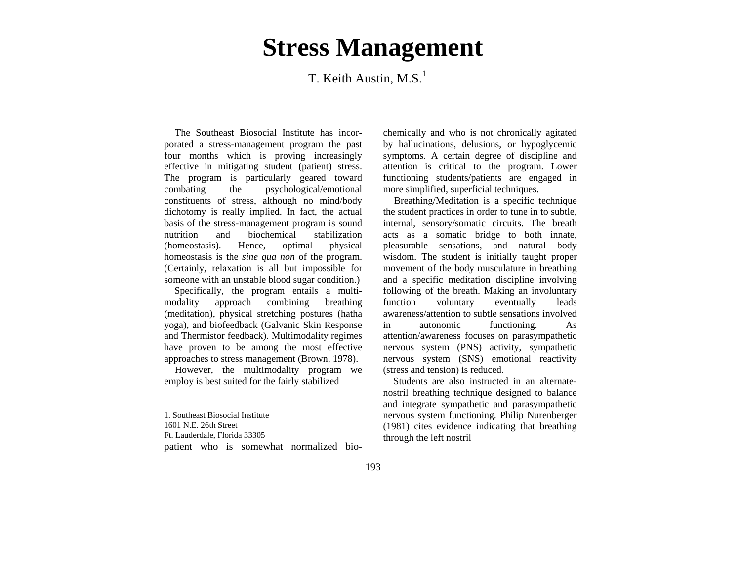### **Stress Management**

T. Keith Austin, M.S.<sup>1</sup>

The Southeast Biosocial Institute has incorporated a stress-management program the past four months which is proving increasingly effective in mitigating student (patient) stress. The program is particularly geared toward combating the psychological/emotional constituents of stress, although no mind/body dichotomy is really implied. In fact, the actual basis of the stress-management program is sound nutrition and biochemical stabilization (homeostasis). Hence, optimal physical homeostasis is the *sine qua non* of the program. (Certainly, relaxation is all but impossible for someone with an unstable blood sugar condition.)

Specifically, the program entails a multimodality approach combining breathing (meditation), physical stretching postures (hatha yoga), and biofeedback (Galvanic Skin Response and Thermistor feedback). Multimodality regimes have proven to be among the most effective approaches to stress management (Brown, 1978).

However, the multimodality program we employ is best suited for the fairly stabilized

1. Southeast Biosocial Institute1601 N.E. 26th StreetFt. Lauderdale, Florida 33305 patient who is somewhat normalized biochemically and who is not chronically agitated<br>by hallucinations, delusions, or hypoglycemic<br>symptoms. A certain degree of discipline and<br>attention is critical to the program. Lower<br>functioning students/patients are engage

Breathing/Meditation is a specific technique<br>the student practices in order to tune in to subtle,<br>internal, sensory/somatic circuits. The breath<br>acts as a somatic bridge to both innate,<br>pleasurable sensations, and natural

Students are also instructed in an alternatenostril breathing technique designed to balance and integrate sympathetic and parasympathetic nervous system functioning. Philip Nurenberger (1981) cites evidence indicating that breathing through the left nostril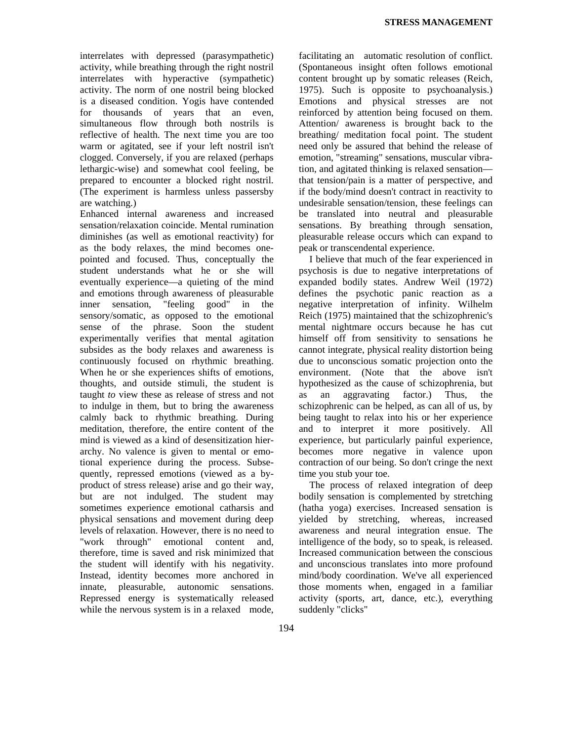interrelates with depressed (parasympathetic) activity, while breathing through the right nostril interrelates with hyperactive (sympathetic) activity. The norm of one nostril being blocked is a diseased condition. Yogis have contended for thousands of years that an even, simultaneous flow through both nostrils is reflective of health. The next time you are too warm or agitated, see if your left nostril isn't clogged. Conversely, if you are relaxed (perhaps lethargic-wise) and somewhat cool feeling, be prepared to encounter a blocked right nostril. (The experiment is harmless unless passersby are watching.)

Enhanced internal awareness and increased sensation/relaxation coincide. Mental rumination diminishes (as well as emotional reactivity) for as the body relaxes, the mind becomes onepointed and focused. Thus, conceptually the student understands what he or she will eventually experience—a quieting of the mind and emotions through awareness of pleasurable inner sensation, "feeling good" in the sensory/somatic, as opposed to the emotional sense of the phrase. Soon the student experimentally verifies that mental agitation subsides as the body relaxes and awareness is continuously focused on rhythmic breathing. When he or she experiences shifts of emotions, thoughts, and outside stimuli, the student is taught *to* view these as release of stress and not to indulge in them, but to bring the awareness calmly back to rhythmic breathing. During meditation, therefore, the entire content of the mind is viewed as a kind of desensitization hierarchy. No valence is given to mental or emotional experience during the process. Subsequently, repressed emotions (viewed as a byproduct of stress release) arise and go their way, but are not indulged. The student may sometimes experience emotional catharsis and physical sensations and movement during deep levels of relaxation. However, there is no need to "work through" emotional content and, therefore, time is saved and risk minimized that the student will identify with his negativity. Instead, identity becomes more anchored in innate, pleasurable, autonomic sensations. Repressed energy is systematically released while the nervous system is in a relaxed mode,

facilitating an automatic resolution of conflict. (Spontaneous insight often follows emotional content brought up by somatic releases (Reich, 1975). Such is opposite to psychoanalysis.) Emotions and physical stresses are not reinforced by attention being focused on them. Attention/ awareness is brought back to the breathing/ meditation focal point. The student need only be assured that behind the release of emotion, "streaming" sensations, muscular vibration, and agitated thinking is relaxed sensation that tension/pain is a matter of perspective, and if the body/mind doesn't contract in reactivity to undesirable sensation/tension, these feelings can be translated into neutral and pleasurable sensations. By breathing through sensation, pleasurable release occurs which can expand to peak or transcendental experience.

I believe that much of the fear experienced in psychosis is due to negative interpretations of expanded bodily states. Andrew Weil (1972) defines the psychotic panic reaction as a negative interpretation of infinity. Wilhelm Reich (1975) maintained that the schizophrenic's mental nightmare occurs because he has cut himself off from sensitivity to sensations he cannot integrate, physical reality distortion being due to unconscious somatic projection onto the environment. (Note that the above isn't hypothesized as the cause of schizophrenia, but as an aggravating factor.) Thus, the schizophrenic can be helped, as can all of us, by being taught to relax into his or her experience and to interpret it more positively. All experience, but particularly painful experience, becomes more negative in valence upon contraction of our being. So don't cringe the next time you stub your toe.

The process of relaxed integration of deep bodily sensation is complemented by stretching (hatha yoga) exercises. Increased sensation is yielded by stretching, whereas, increased awareness and neural integration ensue. The intelligence of the body, so to speak, is released. Increased communication between the conscious and unconscious translates into more profound mind/body coordination. We've all experienced those moments when, engaged in a familiar activity (sports, art, dance, etc.), everything suddenly "clicks"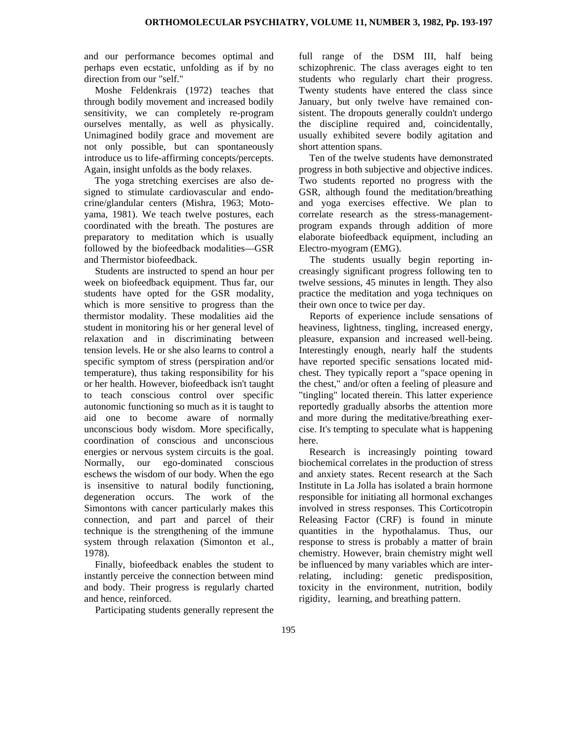and our performance becomes optimal and perhaps even ecstatic, unfolding as if by no direction from our "self."

Moshe Feldenkrais (1972) teaches that through bodily movement and increased bodily sensitivity, we can completely re-program ourselves mentally, as well as physically. Unimagined bodily grace and movement are not only possible, but can spontaneously introduce us to life-affirming concepts/percepts. Again, insight unfolds as the body relaxes.

The yoga stretching exercises are also designed to stimulate cardiovascular and endocrine/glandular centers (Mishra, 1963; Motoyama, 1981). We teach twelve postures, each coordinated with the breath. The postures are preparatory to meditation which is usually followed by the biofeedback modalities—GSR and Thermistor biofeedback.

Students are instructed to spend an hour per week on biofeedback equipment. Thus far, our students have opted for the GSR modality, which is more sensitive to progress than the thermistor modality. These modalities aid the student in monitoring his or her general level of relaxation and in discriminating between tension levels. He or she also learns to control a specific symptom of stress (perspiration and/or temperature), thus taking responsibility for his or her health. However, biofeedback isn't taught to teach conscious control over specific autonomic functioning so much as it is taught to aid one to become aware of normally unconscious body wisdom. More specifically, coordination of conscious and unconscious energies or nervous system circuits is the goal. Normally, our ego-dominated conscious eschews the wisdom of our body. When the ego is insensitive to natural bodily functioning, degeneration occurs. The work of the Simontons with cancer particularly makes this connection, and part and parcel of their technique is the strengthening of the immune system through relaxation (Simonton et al., 1978).

Finally, biofeedback enables the student to instantly perceive the connection between mind and body. Their progress is regularly charted and hence, reinforced.

Participating students generally represent the

full range of the DSM III, half being schizophrenic. The class averages eight to ten students who regularly chart their progress. Twenty students have entered the class since January, but only twelve have remained consistent. The dropouts generally couldn't undergo the discipline required and, coincidentally, usually exhibited severe bodily agitation and short attention spans.

Ten of the twelve students have demonstrated progress in both subjective and objective indices. Two students reported no progress with the GSR, although found the meditation/breathing and yoga exercises effective. We plan to correlate research as the stress-managementprogram expands through addition of more elaborate biofeedback equipment, including an Electro-myogram (EMG).

The students usually begin reporting increasingly significant progress following ten to twelve sessions, 45 minutes in length. They also practice the meditation and yoga techniques on their own once to twice per day.

Reports of experience include sensations of heaviness, lightness, tingling, increased energy, pleasure, expansion and increased well-being. Interestingly enough, nearly half the students have reported specific sensations located midchest. They typically report a "space opening in the chest," and/or often a feeling of pleasure and "tingling" located therein. This latter experience reportedly gradually absorbs the attention more and more during the meditative/breathing exercise. It's tempting to speculate what is happening here.

Research is increasingly pointing toward biochemical correlates in the production of stress and anxiety states. Recent research at the Sach Institute in La Jolla has isolated a brain hormone responsible for initiating all hormonal exchanges involved in stress responses. This Corticotropin Releasing Factor (CRF) is found in minute quantities in the hypothalamus. Thus, our response to stress is probably a matter of brain chemistry. However, brain chemistry might well be influenced by many variables which are interrelating, including: genetic predisposition, toxicity in the environment, nutrition, bodily rigidity, learning, and breathing pattern.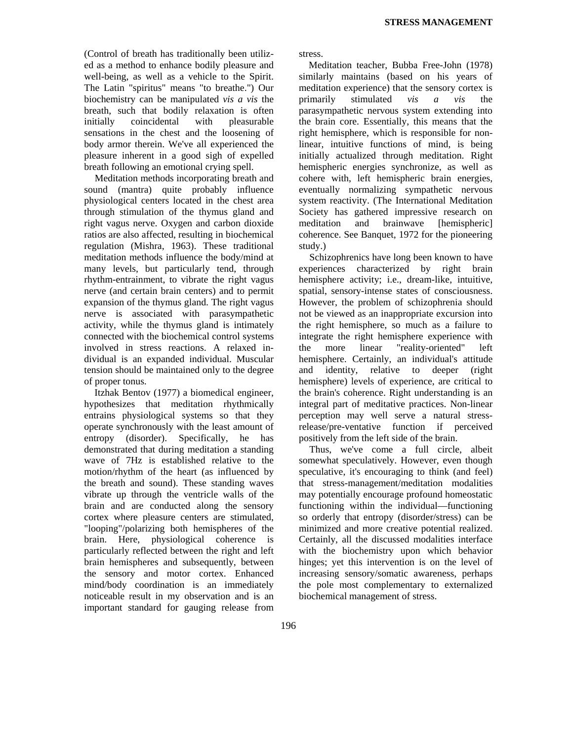(Control of breath has traditionally been utilized as a method to enhance bodily pleasure and well-being, as well as a vehicle to the Spirit. The Latin "spiritus" means "to breathe.") Our biochemistry can be manipulated *vis a vis* the breath, such that bodily relaxation is often initially coincidental with pleasurable sensations in the chest and the loosening of body armor therein. We've all experienced the pleasure inherent in a good sigh of expelled breath following an emotional crying spell.

Meditation methods incorporating breath and sound (mantra) quite probably influence physiological centers located in the chest area through stimulation of the thymus gland and right vagus nerve. Oxygen and carbon dioxide ratios are also affected, resulting in biochemical regulation (Mishra, 1963). These traditional meditation methods influence the body/mind at many levels, but particularly tend, through rhythm-entrainment, to vibrate the right vagus nerve (and certain brain centers) and to permit expansion of the thymus gland. The right vagus nerve is associated with parasympathetic activity, while the thymus gland is intimately connected with the biochemical control systems involved in stress reactions. A relaxed individual is an expanded individual. Muscular tension should be maintained only to the degree of proper tonus.

Itzhak Bentov (1977) a biomedical engineer, hypothesizes that meditation rhythmically entrains physiological systems so that they operate synchronously with the least amount of entropy (disorder). Specifically, he has demonstrated that during meditation a standing wave of 7Hz is established relative to the motion/rhythm of the heart (as influenced by the breath and sound). These standing waves vibrate up through the ventricle walls of the brain and are conducted along the sensory cortex where pleasure centers are stimulated, "looping"/polarizing both hemispheres of the brain. Here, physiological coherence is particularly reflected between the right and left brain hemispheres and subsequently, between the sensory and motor cortex. Enhanced mind/body coordination is an immediately noticeable result in my observation and is an important standard for gauging release from stress.

Meditation teacher, Bubba Free-John (1978) similarly maintains (based on his years of meditation experience) that the sensory cortex is primarily stimulated *vis a vis* the parasympathetic nervous system extending into the brain core. Essentially, this means that the right hemisphere, which is responsible for nonlinear, intuitive functions of mind, is being initially actualized through meditation. Right hemispheric energies synchronize, as well as cohere with, left hemispheric brain energies, eventually normalizing sympathetic nervous system reactivity. (The International Meditation Society has gathered impressive research on meditation and brainwave [hemispheric] coherence. See Banquet, 1972 for the pioneering study.)

Schizophrenics have long been known to have experiences characterized by right brain hemisphere activity; i.e., dream-like, intuitive, spatial, sensory-intense states of consciousness. However, the problem of schizophrenia should not be viewed as an inappropriate excursion into the right hemisphere, so much as a failure to integrate the right hemisphere experience with the more linear "reality-oriented" left hemisphere. Certainly, an individual's attitude and identity, relative to deeper (right hemisphere) levels of experience, are critical to the brain's coherence. Right understanding is an integral part of meditative practices. Non-linear perception may well serve a natural stressrelease/pre-ventative function if perceived positively from the left side of the brain.

Thus, we've come a full circle, albeit somewhat speculatively. However, even though speculative, it's encouraging to think (and feel) that stress-management/meditation modalities may potentially encourage profound homeostatic functioning within the individual—functioning so orderly that entropy (disorder/stress) can be minimized and more creative potential realized. Certainly, all the discussed modalities interface with the biochemistry upon which behavior hinges; yet this intervention is on the level of increasing sensory/somatic awareness, perhaps the pole most complementary to externalized biochemical management of stress.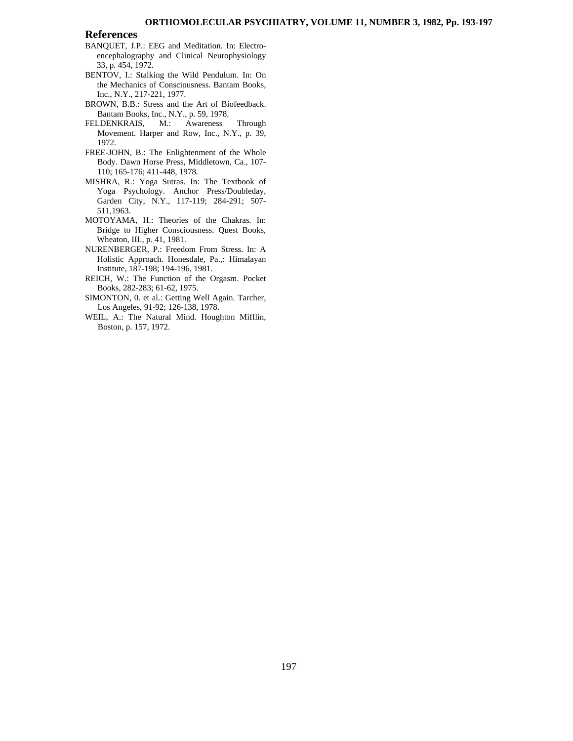#### **References**

- BANQUET, J.P.: EEG and Meditation. In: Electroencephalography and Clinical Neurophysiology 33, p. 454, 1972.
- BENTOV, I.: Stalking the Wild Pendulum. In: On the Mechanics of Consciousness. Bantam Books, Inc., N.Y., 217-221, 1977.
- BROWN, B.B.: Stress and the Art of Biofeedback. Bantam Books, Inc., N.Y., p. 59, 1978.
- FELDENKRAIS, M.: Awareness Through Movement. Harper and Row, Inc., N.Y., p. 39, 1972.
- FREE-JOHN, B.: The Enlightenment of the Whole Body. Dawn Horse Press, Middletown, Ca., 107- 110; 165-176; 411-448, 1978.
- MISHRA, R.: Yoga Sutras. In: The Textbook of Yoga Psychology. Anchor Press/Doubleday, Garden City, N.Y., 117-119; 284-291; 507- 511,1963.
- MOTOYAMA, H.: Theories of the Chakras. In: Bridge to Higher Consciousness. Quest Books, Wheaton, III., p. 41, 1981.
- NURENBERGER, P.: Freedom From Stress. In: A Holistic Approach. Honesdale, Pa.,: Himalayan Institute, 187-198; 194-196, 1981.
- REICH, W.: The Function of the Orgasm. Pocket Books, 282-283; 61-62, 1975.
- SIMONTON, 0. et al.: Getting Well Again. Tarcher, Los Angeles, 91-92; 126-138, 1978.
- WEIL, A.: The Natural Mind. Houghton Mifflin, Boston, p. 157, 1972.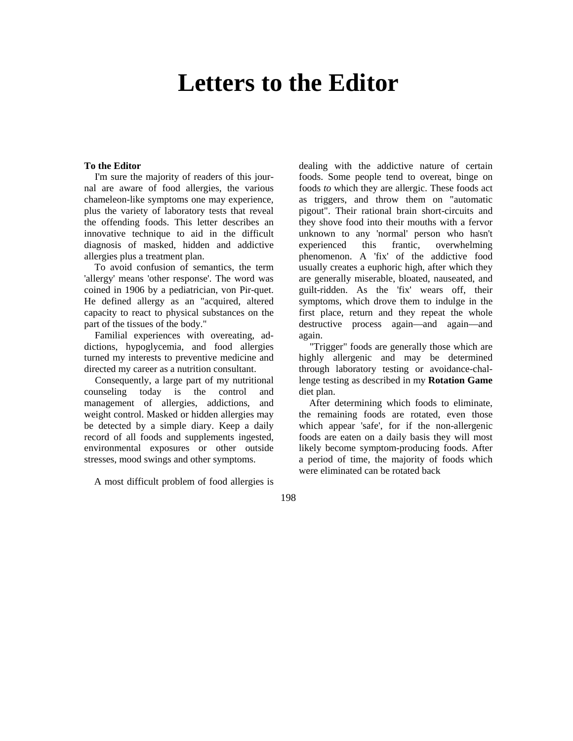## **Letters to the Editor**

#### **To the Editor**

I'm sure the majority of readers of this journal are aware of food allergies, the various chameleon-like symptoms one may experience, plus the variety of laboratory tests that reveal the offending foods. This letter describes an innovative technique to aid in the difficult diagnosis of masked, hidden and addictive allergies plus a treatment plan.

To avoid confusion of semantics, the term 'allergy' means 'other response'. The word was coined in 1906 by a pediatrician, von Pir-quet. He defined allergy as an "acquired, altered capacity to react to physical substances on the part of the tissues of the body."

Familial experiences with overeating, addictions, hypoglycemia, and food allergies turned my interests to preventive medicine and directed my career as a nutrition consultant.

Consequently, a large part of my nutritional counseling today is the control and management of allergies, addictions, and weight control. Masked or hidden allergies may be detected by a simple diary. Keep a daily record of all foods and supplements ingested, environmental exposures or other outside stresses, mood swings and other symptoms.

A most difficult problem of food allergies is

dealing with the addictive nature of certain foods. Some people tend to overeat, binge on foods *to* which they are allergic. These foods act as triggers, and throw them on "automatic pigout". Their rational brain short-circuits and they shove food into their mouths with a fervor unknown to any 'normal' person who hasn't experienced this frantic, overwhelming phenomenon. A 'fix' of the addictive food usually creates a euphoric high, after which they are generally miserable, bloated, nauseated, and guilt-ridden. As the 'fix' wears off, their symptoms, which drove them to indulge in the first place, return and they repeat the whole destructive process again—and again—and again.

"Trigger" foods are generally those which are highly allergenic and may be determined through laboratory testing or avoidance-challenge testing as described in my **Rotation Game**  diet plan.

After determining which foods to eliminate, the remaining foods are rotated, even those which appear 'safe', for if the non-allergenic foods are eaten on a daily basis they will most likely become symptom-producing foods. After a period of time, the majority of foods which were eliminated can be rotated back

198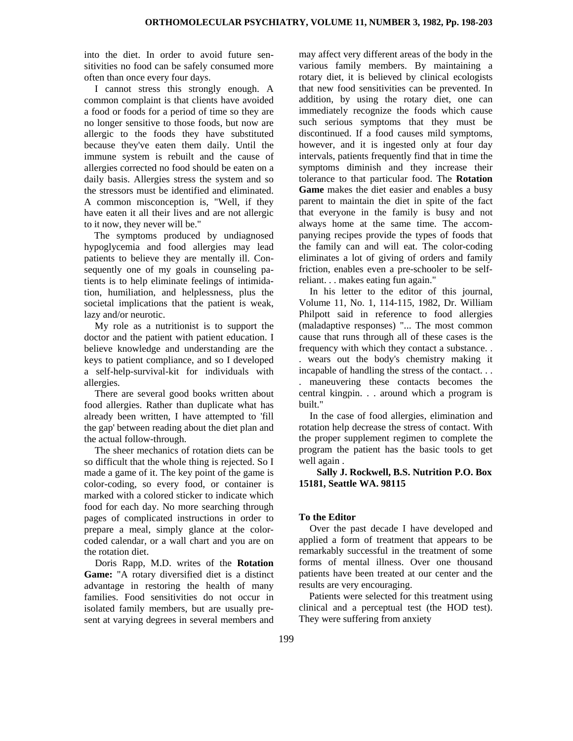into the diet. In order to avoid future sensitivities no food can be safely consumed more often than once every four days.

I cannot stress this strongly enough. A common complaint is that clients have avoided a food or foods for a period of time so they are no longer sensitive to those foods, but now are allergic to the foods they have substituted because they've eaten them daily. Until the immune system is rebuilt and the cause of allergies corrected no food should be eaten on a daily basis. Allergies stress the system and so the stressors must be identified and eliminated. A common misconception is, "Well, if they have eaten it all their lives and are not allergic to it now, they never will be."

The symptoms produced by undiagnosed hypoglycemia and food allergies may lead patients to believe they are mentally ill. Consequently one of my goals in counseling patients is to help eliminate feelings of intimidation, humiliation, and helplessness, plus the societal implications that the patient is weak, lazy and/or neurotic.

My role as a nutritionist is to support the doctor and the patient with patient education. I believe knowledge and understanding are the keys to patient compliance, and so I developed a self-help-survival-kit for individuals with allergies.

There are several good books written about food allergies. Rather than duplicate what has already been written, I have attempted to 'fill the gap' between reading about the diet plan and the actual follow-through.

The sheer mechanics of rotation diets can be so difficult that the whole thing is rejected. So I made a game of it. The key point of the game is color-coding, so every food, or container is marked with a colored sticker to indicate which food for each day. No more searching through pages of complicated instructions in order to prepare a meal, simply glance at the colorcoded calendar, or a wall chart and you are on the rotation diet.

Doris Rapp, M.D. writes of the **Rotation Game:** "A rotary diversified diet is a distinct advantage in restoring the health of many families. Food sensitivities do not occur in isolated family members, but are usually present at varying degrees in several members and

may affect very different areas of the body in the various family members. By maintaining a rotary diet, it is believed by clinical ecologists that new food sensitivities can be prevented. In addition, by using the rotary diet, one can immediately recognize the foods which cause such serious symptoms that they must be discontinued. If a food causes mild symptoms, however, and it is ingested only at four day intervals, patients frequently find that in time the symptoms diminish and they increase their tolerance to that particular food. The **Rotation**  Game makes the diet easier and enables a busy parent to maintain the diet in spite of the fact that everyone in the family is busy and not always home at the same time. The accompanying recipes provide the types of foods that the family can and will eat. The color-coding eliminates a lot of giving of orders and family friction, enables even a pre-schooler to be selfreliant. . . makes eating fun again."

In his letter to the editor of this journal, Volume 11, No. 1, 114-115, 1982, Dr. William Philpott said in reference to food allergies (maladaptive responses) "... The most common cause that runs through all of these cases is the frequency with which they contact a substance. . . wears out the body's chemistry making it incapable of handling the stress of the contact. . . . maneuvering these contacts becomes the central kingpin. . . around which a program is built."

In the case of food allergies, elimination and rotation help decrease the stress of contact. With the proper supplement regimen to complete the program the patient has the basic tools to get well again .

**Sally J. Rockwell, B.S. Nutrition P.O. Box 15181, Seattle WA. 98115**

#### **To the Editor**

Over the past decade I have developed and applied a form of treatment that appears to be remarkably successful in the treatment of some forms of mental illness. Over one thousand patients have been treated at our center and the results are very encouraging.

Patients were selected for this treatment using clinical and a perceptual test (the HOD test). They were suffering from anxiety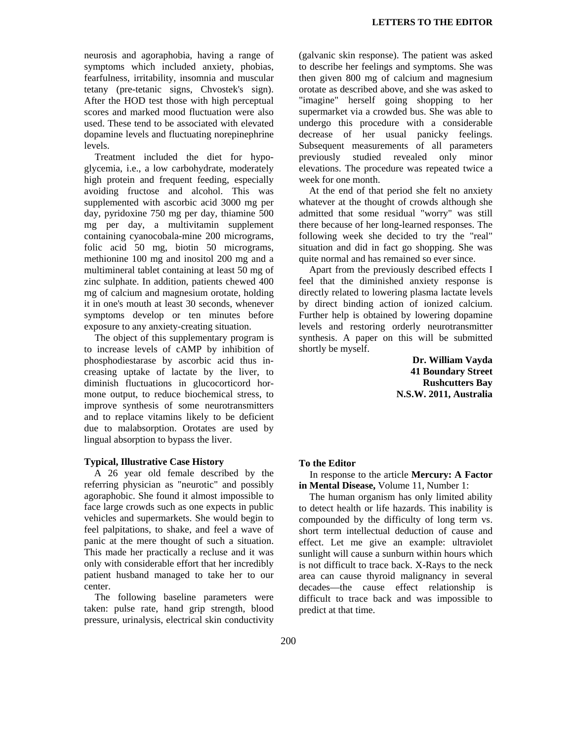neurosis and agoraphobia, having a range of symptoms which included anxiety, phobias, fearfulness, irritability, insomnia and muscular tetany (pre-tetanic signs, Chvostek's sign). After the HOD test those with high perceptual scores and marked mood fluctuation were also used. These tend to be associated with elevated dopamine levels and fluctuating norepinephrine levels.

Treatment included the diet for hypoglycemia, i.e., a low carbohydrate, moderately high protein and frequent feeding, especially avoiding fructose and alcohol. This was supplemented with ascorbic acid 3000 mg per day, pyridoxine 750 mg per day, thiamine 500 mg per day, a multivitamin supplement containing cyanocobala-mine 200 micrograms, folic acid 50 mg, biotin 50 micrograms, methionine 100 mg and inositol 200 mg and a multimineral tablet containing at least 50 mg of zinc sulphate. In addition, patients chewed 400 mg of calcium and magnesium orotate, holding it in one's mouth at least 30 seconds, whenever symptoms develop or ten minutes before exposure to any anxiety-creating situation.

The object of this supplementary program is to increase levels of cAMP by inhibition of phosphodiestarase by ascorbic acid thus increasing uptake of lactate by the liver, to diminish fluctuations in glucocorticord hormone output, to reduce biochemical stress, to improve synthesis of some neurotransmitters and to replace vitamins likely to be deficient due to malabsorption. Orotates are used by lingual absorption to bypass the liver.

#### **Typical, Illustrative Case History**

A 26 year old female described by the referring physician as "neurotic" and possibly agoraphobic. She found it almost impossible to face large crowds such as one expects in public vehicles and supermarkets. She would begin to feel palpitations, to shake, and feel a wave of panic at the mere thought of such a situation. This made her practically a recluse and it was only with considerable effort that her incredibly patient husband managed to take her to our center.

The following baseline parameters were taken: pulse rate, hand grip strength, blood pressure, urinalysis, electrical skin conductivity

(galvanic skin response). The patient was asked to describe her feelings and symptoms. She was then given 800 mg of calcium and magnesium orotate as described above, and she was asked to "imagine" herself going shopping to her supermarket via a crowded bus. She was able to undergo this procedure with a considerable decrease of her usual panicky feelings. Subsequent measurements of all parameters previously studied revealed only minor elevations. The procedure was repeated twice a week for one month.

At the end of that period she felt no anxiety whatever at the thought of crowds although she admitted that some residual "worry" was still there because of her long-learned responses. The following week she decided to try the "real" situation and did in fact go shopping. She was quite normal and has remained so ever since.

Apart from the previously described effects I feel that the diminished anxiety response is directly related to lowering plasma lactate levels by direct binding action of ionized calcium. Further help is obtained by lowering dopamine levels and restoring orderly neurotransmitter synthesis. A paper on this will be submitted shortly be myself.

> **Dr. William Vayda 41 Boundary Street Rushcutters Bay N.S.W. 2011, Australia**

### **To the Editor**

In response to the article **Mercury: A Factor in Mental Disease,** Volume 11, Number 1:

The human organism has only limited ability to detect health or life hazards. This inability is compounded by the difficulty of long term vs. short term intellectual deduction of cause and effect. Let me give an example: ultraviolet sunlight will cause a sunburn within hours which is not difficult to trace back. X-Rays to the neck area can cause thyroid malignancy in several decades—the cause effect relationship is difficult to trace back and was impossible to predict at that time.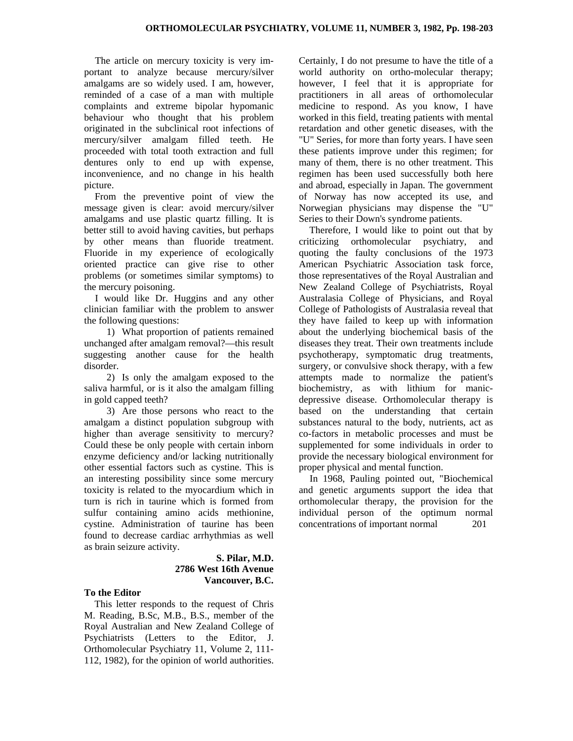The article on mercury toxicity is very important to analyze because mercury/silver amalgams are so widely used. I am, however, reminded of a case of a man with multiple complaints and extreme bipolar hypomanic behaviour who thought that his problem originated in the subclinical root infections of mercury/silver amalgam filled teeth. He proceeded with total tooth extraction and full dentures only to end up with expense, inconvenience, and no change in his health picture.

From the preventive point of view the message given is clear: avoid mercury/silver amalgams and use plastic quartz filling. It is better still to avoid having cavities, but perhaps by other means than fluoride treatment. Fluoride in my experience of ecologically oriented practice can give rise to other problems (or sometimes similar symptoms) to the mercury poisoning.

I would like Dr. Huggins and any other clinician familiar with the problem to answer the following questions:

1) What proportion of patients remained unchanged after amalgam removal?—this result suggesting another cause for the health disorder.

2) Is only the amalgam exposed to the saliva harmful, or is it also the amalgam filling in gold capped teeth?

3) Are those persons who react to the amalgam a distinct population subgroup with higher than average sensitivity to mercury? Could these be only people with certain inborn enzyme deficiency and/or lacking nutritionally other essential factors such as cystine. This is an interesting possibility since some mercury toxicity is related to the myocardium which in turn is rich in taurine which is formed from sulfur containing amino acids methionine, cystine. Administration of taurine has been found to decrease cardiac arrhythmias as well as brain seizure activity.

#### **S. Pilar, M.D. 2786 West 16th Avenue Vancouver, B.C.**

#### **To the Editor**

This letter responds to the request of Chris M. Reading, B.Sc, M.B., B.S., member of the Royal Australian and New Zealand College of Psychiatrists (Letters to the Editor, J. Orthomolecular Psychiatry 11, Volume 2, 111- 112, 1982), for the opinion of world authorities. Certainly, I do not presume to have the title of a world authority on ortho-molecular therapy; however, I feel that it is appropriate for practitioners in all areas of orthomolecular medicine to respond. As you know, I have worked in this field, treating patients with mental retardation and other genetic diseases, with the "U" Series, for more than forty years. I have seen these patients improve under this regimen; for many of them, there is no other treatment. This regimen has been used successfully both here and abroad, especially in Japan. The government of Norway has now accepted its use, and Norwegian physicians may dispense the "U" Series to their Down's syndrome patients.

Therefore, I would like to point out that by criticizing orthomolecular psychiatry, and quoting the faulty conclusions of the 1973 American Psychiatric Association task force, those representatives of the Royal Australian and New Zealand College of Psychiatrists, Royal Australasia College of Physicians, and Royal College of Pathologists of Australasia reveal that they have failed to keep up with information about the underlying biochemical basis of the diseases they treat. Their own treatments include psychotherapy, symptomatic drug treatments, surgery, or convulsive shock therapy, with a few attempts made to normalize the patient's biochemistry, as with lithium for manicdepressive disease. Orthomolecular therapy is based on the understanding that certain substances natural to the body, nutrients, act as co-factors in metabolic processes and must be supplemented for some individuals in order to provide the necessary biological environment for proper physical and mental function.

In 1968, Pauling pointed out, "Biochemical and genetic arguments support the idea that orthomolecular therapy, the provision for the individual person of the optimum normal concentrations of important normal 201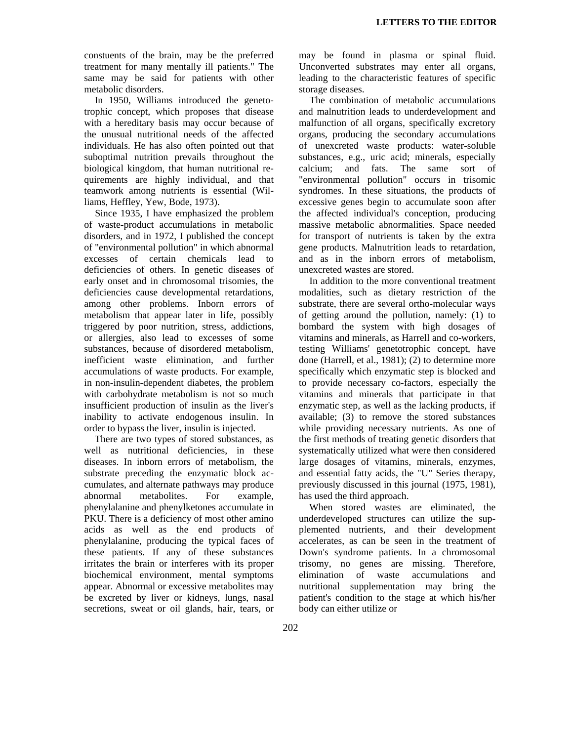constuents of the brain, may be the preferred treatment for many mentally ill patients." The same may be said for patients with other metabolic disorders.

In 1950, Williams introduced the genetotrophic concept, which proposes that disease with a hereditary basis may occur because of the unusual nutritional needs of the affected individuals. He has also often pointed out that suboptimal nutrition prevails throughout the biological kingdom, that human nutritional requirements are highly individual, and that teamwork among nutrients is essential (Williams, Heffley, Yew, Bode, 1973).

Since 1935, I have emphasized the problem of waste-product accumulations in metabolic disorders, and in 1972, I published the concept of "environmental pollution" in which abnormal excesses of certain chemicals lead to deficiencies of others. In genetic diseases of early onset and in chromosomal trisomies, the deficiencies cause developmental retardations, among other problems. Inborn errors of metabolism that appear later in life, possibly triggered by poor nutrition, stress, addictions, or allergies, also lead to excesses of some substances, because of disordered metabolism, inefficient waste elimination, and further accumulations of waste products. For example, in non-insulin-dependent diabetes, the problem with carbohydrate metabolism is not so much insufficient production of insulin as the liver's inability to activate endogenous insulin. In order to bypass the liver, insulin is injected.

There are two types of stored substances, as well as nutritional deficiencies, in these diseases. In inborn errors of metabolism, the substrate preceding the enzymatic block accumulates, and alternate pathways may produce abnormal metabolites. For example, phenylalanine and phenylketones accumulate in PKU. There is a deficiency of most other amino acids as well as the end products of phenylalanine, producing the typical faces of these patients. If any of these substances irritates the brain or interferes with its proper biochemical environment, mental symptoms appear. Abnormal or excessive metabolites may be excreted by liver or kidneys, lungs, nasal secretions, sweat or oil glands, hair, tears, or may be found in plasma or spinal fluid. Unconverted substrates may enter all organs, leading to the characteristic features of specific storage diseases.

The combination of metabolic accumulations and malnutrition leads to underdevelopment and malfunction of all organs, specifically excretory organs, producing the secondary accumulations of unexcreted waste products: water-soluble substances, e.g., uric acid; minerals, especially calcium; and fats. The same sort of "environmental pollution" occurs in trisomic syndromes. In these situations, the products of excessive genes begin to accumulate soon after the affected individual's conception, producing massive metabolic abnormalities. Space needed for transport of nutrients is taken by the extra gene products. Malnutrition leads to retardation, and as in the inborn errors of metabolism, unexcreted wastes are stored.

In addition to the more conventional treatment modalities, such as dietary restriction of the substrate, there are several ortho-molecular ways of getting around the pollution, namely: (1) to bombard the system with high dosages of vitamins and minerals, as Harrell and co-workers, testing Williams' genetotrophic concept, have done (Harrell, et al., 1981); (2) to determine more specifically which enzymatic step is blocked and to provide necessary co-factors, especially the vitamins and minerals that participate in that enzymatic step, as well as the lacking products, if available; (3) to remove the stored substances while providing necessary nutrients. As one of the first methods of treating genetic disorders that systematically utilized what were then considered large dosages of vitamins, minerals, enzymes, and essential fatty acids, the "U" Series therapy, previously discussed in this journal (1975, 1981), has used the third approach.

When stored wastes are eliminated, the underdeveloped structures can utilize the supplemented nutrients, and their development accelerates, as can be seen in the treatment of Down's syndrome patients. In a chromosomal trisomy, no genes are missing. Therefore, elimination of waste accumulations and nutritional supplementation may bring the patient's condition to the stage at which his/her body can either utilize or